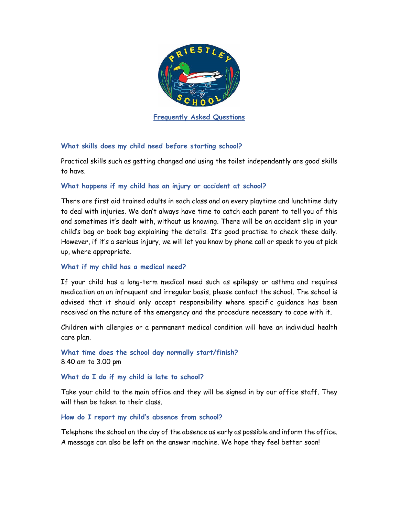

**Frequently Asked Questions** 

## **What skills does my child need before starting school?**

Practical skills such as getting changed and using the toilet independently are good skills to have.

## **What happens if my child has an injury or accident at school?**

There are first aid trained adults in each class and on every playtime and lunchtime duty to deal with injuries. We don't always have time to catch each parent to tell you of this and sometimes it's dealt with, without us knowing. There will be an accident slip in your child's bag or book bag explaining the details. It's good practise to check these daily. However, if it's a serious injury, we will let you know by phone call or speak to you at pick up, where appropriate.

## **What if my child has a medical need?**

If your child has a long-term medical need such as epilepsy or asthma and requires medication on an infrequent and irregular basis, please contact the school. The school is advised that it should only accept responsibility where specific guidance has been received on the nature of the emergency and the procedure necessary to cope with it.

Children with allergies or a permanent medical condition will have an individual health care plan.

**What time does the school day normally start/finish?**  8.40 am to 3.00 pm

## **What do I do if my child is late to school?**

Take your child to the main office and they will be signed in by our office staff. They will then be taken to their class.

## **How do I report my child's absence from school?**

Telephone the school on the day of the absence as early as possible and inform the office. A message can also be left on the answer machine. We hope they feel better soon!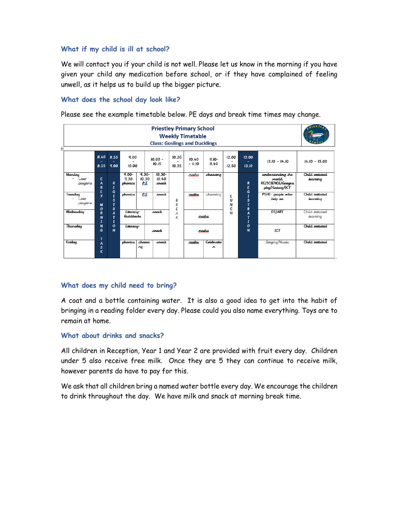### **What if my child is ill at school?**

We will contact you if your child is not well. Please let us know in the morning if you have given your child any medication before school, or if they have complained of feeling unwell, as it helps us to build up the bigger picture.

## **What does the school day look like?**

Please see the example timetable below. PE days and break time times may change.

| <b>Priestley Primary School</b><br><b>Weekly Timetable</b><br><b>Class: Goslings and Ducklings</b> |                       |                                                                |                               |                          |                             |                |                   |                   |                  |                   |                                                                                  |                             |
|----------------------------------------------------------------------------------------------------|-----------------------|----------------------------------------------------------------|-------------------------------|--------------------------|-----------------------------|----------------|-------------------|-------------------|------------------|-------------------|----------------------------------------------------------------------------------|-----------------------------|
|                                                                                                    | 8.40<br>8.55          | 8.55<br>9.00                                                   | 9.00<br>10.00                 |                          | $10.00 -$<br>10.15          | 10.20<br>10.35 | 10.40<br>$-11.10$ | $II.IO-$<br>II.40 | 12.00<br>12.50   | 13.00<br>13.10    | $13.10 - 14.10$                                                                  | $14.10 - 15.00$             |
| Manday<br>ater<br>playtime                                                                         | E<br>A<br>R<br>L      | R<br>E<br>G                                                    | $9.00 -$<br>9.30<br>phanics   | $9.30 -$<br>10.30<br>P.E | $10.30 -$<br>10.40<br>snack |                | maths             | chaasing          |                  | R<br>E<br>G       | understanding the<br><b><i>marld</i></b><br>RE/SCIENCE/Geagra<br>phy/History/ICT | Child initiated<br>Jeanning |
| Tuesday<br>Later<br>playtime                                                                       | y<br>M<br>$\mathbf o$ | $\overline{I}$<br>$\overline{\mathbf{s}}$<br>$\mathbf{r}$<br>R | phanics                       | P.E                      | snack                       | В<br>R<br>E    | adhan             | chaosing          | L<br>U<br>N<br>c | I<br>s<br>T<br>R  | PSHE-peaple who<br>help us                                                       | Child initiated<br>Jeanning |
| Wednesday                                                                                          | R<br>N<br>$\bf{I}$    | $\overline{A}$<br>$\mathbf{r}$<br>$\bf{I}$                     | <b>Literacy</b><br>Galdilacks |                          | snack                       | A<br>K         | maths             |                   | н                | A<br>T<br>I       | DT/ART                                                                           | Child initiated<br>learning |
| Thursday                                                                                           | N<br>G<br>т           | $\mathbf o$<br>N                                               | Literacy-                     |                          | snack                       |                |                   | maths             |                  | $\mathbf{o}$<br>N | <b>ICT</b>                                                                       | Child initiated             |
| Friday                                                                                             | A<br>s<br>K           |                                                                | phanics                       | chaasi<br>лq             | snack                       |                | adhan             | Celebratio<br>n.  |                  |                   | Singing/Music                                                                    | Child initiated             |

### **What does my child need to bring?**

A coat and a bottle containing water. It is also a good idea to get into the habit of bringing in a reading folder every day. Please could you also name everything. Toys are to remain at home.

### **What about drinks and snacks?**

All children in Reception, Year 1 and Year 2 are provided with fruit every day. Children under 5 also receive free milk. Once they are 5 they can continue to receive milk, however parents do have to pay for this.

We ask that all children bring a named water bottle every day. We encourage the children to drink throughout the day. We have milk and snack at morning break time.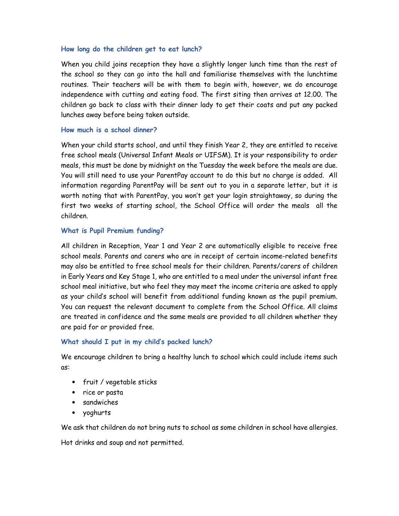### **How long do the children get to eat lunch?**

When you child joins reception they have a slightly longer lunch time than the rest of the school so they can go into the hall and familiarise themselves with the lunchtime routines. Their teachers will be with them to begin with, however, we do encourage independence with cutting and eating food. The first siting then arrives at 12.00. The children go back to class with their dinner lady to get their coats and put any packed lunches away before being taken outside.

### **How much is a school dinner?**

When your child starts school, and until they finish Year 2, they are entitled to receive free school meals (Universal Infant Meals or UIFSM). It is your responsibility to order meals, this must be done by midnight on the Tuesday the week before the meals are due. You will still need to use your ParentPay account to do this but no charge is added. All information regarding ParentPay will be sent out to you in a separate letter, but it is worth noting that with ParentPay, you won't get your login straightaway, so during the first two weeks of starting school, the School Office will order the meals all the children.

### **What is Pupil Premium funding?**

All children in Reception, Year 1 and Year 2 are automatically eligible to receive free school meals. Parents and carers who are in receipt of certain income-related benefits may also be entitled to free school meals for their children. Parents/carers of children in Early Years and Key Stage 1, who are entitled to a meal under the universal infant free school meal initiative, but who feel they may meet the income criteria are asked to apply as your child's school will benefit from additional funding known as the pupil premium. You can request the relevant document to complete from the School Office. All claims are treated in confidence and the same meals are provided to all children whether they are paid for or provided free.

### **What should I put in my child's packed lunch?**

We encourage children to bring a healthy lunch to school which could include items such as:

- fruit / vegetable sticks
- rice or pasta
- sandwiches
- yoghurts

We ask that children do not bring nuts to school as some children in school have allergies.

Hot drinks and soup and not permitted.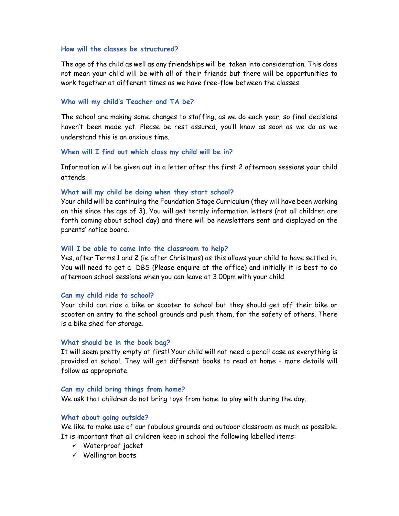### **How will the classes be structured?**

The age of the child as well as any friendships will be taken into consideration. This does not mean your child will be with all of their friends but there will be opportunities to work together at different times as we have free-flow between the classes.

#### **Who will my child's Teacher and TA be?**

The school are making some changes to staffing, as we do each year, so final decisions haven't been made yet. Please be rest assured, you'll know as soon as we do as we understand this is an anxious time.

#### **When will I find out which class my child will be in?**

Information will be given out in a letter after the first 2 afternoon sessions your child attends.

#### **What will my child be doing when they start school?**

Your child will be continuing the Foundation Stage Curriculum (they will have been working on this since the age of 3). You will get termly information letters (not all children are forth coming about school day) and there will be newsletters sent and displayed on the parents' notice board.

#### **Will I be able to come into the classroom to help?**

Yes, after Terms 1 and 2 (ie after Christmas) as this allows your child to have settled in. You will need to get a DBS (Please enquire at the office) and initially it is best to do afternoon school sessions when you can leave at 3.00pm with your child.

#### **Can my child ride to school?**

Your child can ride a bike or scooter to school but they should get off their bike or scooter on entry to the school grounds and push them, for the safety of others. There is a bike shed for storage.

#### **What should be in the book bag?**

It will seem pretty empty at first! Your child will not need a pencil case as everything is provided at school. They will get different books to read at home – more details will follow as appropriate.

#### **Can my child bring things from home?**

We ask that children do not bring toys from home to play with during the day.

#### **What about going outside?**

We like to make use of our fabulous grounds and outdoor classroom as much as possible. It is important that all children keep in school the following labelled items:

- $\checkmark$  Waterproof jacket
- $\checkmark$  Wellington boots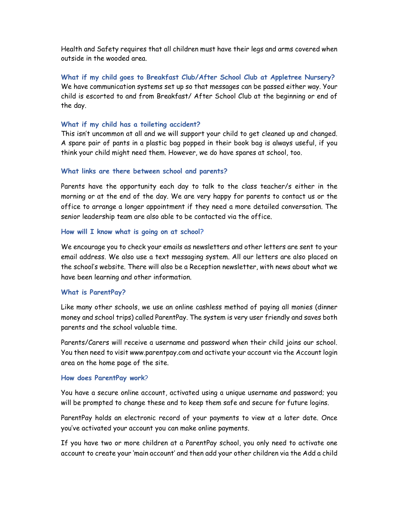Health and Safety requires that all children must have their legs and arms covered when outside in the wooded area.

**What if my child goes to Breakfast Club/After School Club at Appletree Nursery?**  We have communication systems set up so that messages can be passed either way. Your child is escorted to and from Breakfast/ After School Club at the beginning or end of the day.

### **What if my child has a toileting accident?**

This isn't uncommon at all and we will support your child to get cleaned up and changed. A spare pair of pants in a plastic bag popped in their book bag is always useful, if you think your child might need them. However, we do have spares at school, too.

### **What links are there between school and parents?**

Parents have the opportunity each day to talk to the class teacher/s either in the morning or at the end of the day. We are very happy for parents to contact us or the office to arrange a longer appointment if they need a more detailed conversation. The senior leadership team are also able to be contacted via the office.

### **How will I know what is going on at school?**

We encourage you to check your emails as newsletters and other letters are sent to your email address. We also use a text messaging system. All our letters are also placed on the school's website. There will also be a Reception newsletter, with news about what we have been learning and other information.

### **What is ParentPay?**

Like many other schools, we use an online cashless method of paying all monies (dinner money and school trips) called ParentPay. The system is very user friendly and saves both parents and the school valuable time.

Parents/Carers will receive a username and password when their child joins our school. You then need to visit www.parentpay.com and activate your account via the Account login area on the home page of the site.

### **How does ParentPay work**?

You have a secure online account, activated using a unique username and password; you will be prompted to change these and to keep them safe and secure for future logins.

ParentPay holds an electronic record of your payments to view at a later date. Once you've activated your account you can make online payments.

If you have two or more children at a ParentPay school, you only need to activate one account to create your 'main account' and then add your other children via the Add a child